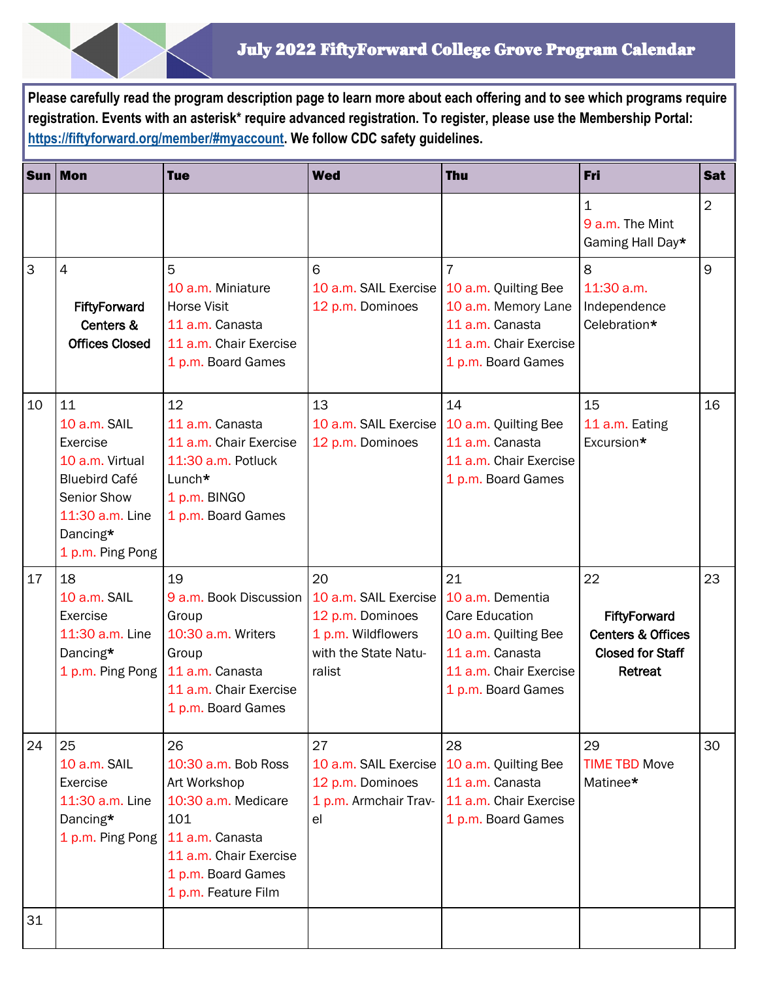**Please carefully read the program description page to learn more about each offering and to see which programs require registration. Events with an asterisk\* require advanced registration. To register, please use the Membership Portal: [https://fiftyforward.org/member/#myaccount.](https://fiftyforward.org/member/#myaccount) We follow CDC safety guidelines.** 

|    | Sun Mon                                                                                                                                     | <b>Tue</b>                                                                                                                                                                         | <b>Wed</b>                                                                     | <b>Thu</b>                                                                                                             | Fri                                                                                             | <b>Sat</b>     |
|----|---------------------------------------------------------------------------------------------------------------------------------------------|------------------------------------------------------------------------------------------------------------------------------------------------------------------------------------|--------------------------------------------------------------------------------|------------------------------------------------------------------------------------------------------------------------|-------------------------------------------------------------------------------------------------|----------------|
|    |                                                                                                                                             |                                                                                                                                                                                    |                                                                                |                                                                                                                        | 1<br>9 a.m. The Mint<br>Gaming Hall Day*                                                        | $\overline{2}$ |
| 3  | $\overline{4}$<br>FiftyForward<br>Centers &<br><b>Offices Closed</b>                                                                        | 5<br>10 a.m. Miniature<br><b>Horse Visit</b><br>11 a.m. Canasta<br>11 a.m. Chair Exercise<br>1 p.m. Board Games                                                                    | 6<br>10 a.m. SAIL Exercise   10 a.m. Quilting Bee<br>12 p.m. Dominoes          | 7<br>10 a.m. Memory Lane<br>11 a.m. Canasta<br>11 a.m. Chair Exercise<br>1 p.m. Board Games                            | 8<br>11:30 a.m.<br>Independence<br>Celebration*                                                 | 9              |
| 10 | 11<br>10 a.m. SAIL<br>Exercise<br>10 a.m. Virtual<br><b>Bluebird Café</b><br>Senior Show<br>11:30 a.m. Line<br>Dancing*<br>1 p.m. Ping Pong | 12<br>11 a.m. Canasta<br>11 a.m. Chair Exercise<br>11:30 a.m. Potluck<br>Lunch*<br>1 p.m. BINGO<br>1 p.m. Board Games                                                              | 13<br>10 a.m. SAIL Exercise<br>12 p.m. Dominoes                                | 14<br>10 a.m. Quilting Bee<br>11 a.m. Canasta<br>11 a.m. Chair Exercise<br>1 p.m. Board Games                          | 15<br>11 a.m. Eating<br>Excursion*                                                              | 16             |
| 17 | 18<br>10 a.m. SAIL<br>Exercise<br>11:30 a.m. Line<br>Dancing*<br>1 p.m. Ping Pong                                                           | 19<br>9 a.m. Book Discussion   10 a.m. SAIL Exercise   10 a.m. Dementia<br>Group<br>10:30 a.m. Writers<br>Group<br>11 a.m. Canasta<br>11 a.m. Chair Exercise<br>1 p.m. Board Games | 20<br>12 p.m. Dominoes<br>1 p.m. Wildflowers<br>with the State Natu-<br>ralist | 21<br><b>Care Education</b><br>10 a.m. Quilting Bee<br>11 a.m. Canasta<br>11 a.m. Chair Exercise<br>1 p.m. Board Games | 22<br><b>FiftyForward</b><br><b>Centers &amp; Offices</b><br><b>Closed for Staff</b><br>Retreat | 23             |
| 24 | 25<br>10 a.m. SAIL<br>Exercise<br>11:30 a.m. Line<br>Dancing*<br>1 p.m. Ping Pong   11 a.m. Canasta                                         | 26<br>10:30 a.m. Bob Ross<br>Art Workshop<br>10:30 a.m. Medicare<br>101<br>11 a.m. Chair Exercise<br>1 p.m. Board Games<br>1 p.m. Feature Film                                     | 27<br>10 a.m. SAIL Exercise<br>12 p.m. Dominoes<br>1 p.m. Armchair Trav-<br>el | 28<br>10 a.m. Quilting Bee<br>11 a.m. Canasta<br>11 a.m. Chair Exercise<br>1 p.m. Board Games                          | 29<br><b>TIME TBD Move</b><br>Matinee*                                                          | 30             |
| 31 |                                                                                                                                             |                                                                                                                                                                                    |                                                                                |                                                                                                                        |                                                                                                 |                |